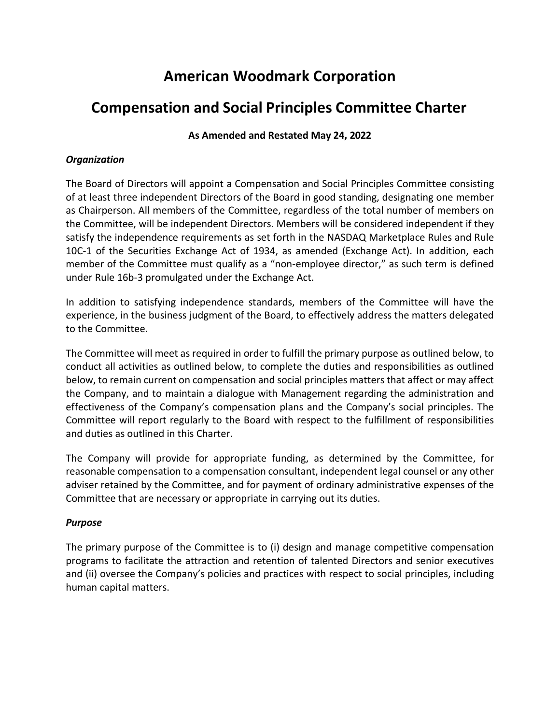# **American Woodmark Corporation**

## **Compensation and Social Principles Committee Charter**

### **As Amended and Restated May 24, 2022**

#### *Organization*

The Board of Directors will appoint a Compensation and Social Principles Committee consisting of at least three independent Directors of the Board in good standing, designating one member as Chairperson. All members of the Committee, regardless of the total number of members on the Committee, will be independent Directors. Members will be considered independent if they satisfy the independence requirements as set forth in the NASDAQ Marketplace Rules and Rule 10C-1 of the Securities Exchange Act of 1934, as amended (Exchange Act). In addition, each member of the Committee must qualify as a "non-employee director," as such term is defined under Rule 16b-3 promulgated under the Exchange Act.

In addition to satisfying independence standards, members of the Committee will have the experience, in the business judgment of the Board, to effectively address the matters delegated to the Committee.

The Committee will meet as required in order to fulfill the primary purpose as outlined below, to conduct all activities as outlined below, to complete the duties and responsibilities as outlined below, to remain current on compensation and social principles matters that affect or may affect the Company, and to maintain a dialogue with Management regarding the administration and effectiveness of the Company's compensation plans and the Company's social principles. The Committee will report regularly to the Board with respect to the fulfillment of responsibilities and duties as outlined in this Charter.

The Company will provide for appropriate funding, as determined by the Committee, for reasonable compensation to a compensation consultant, independent legal counsel or any other adviser retained by the Committee, and for payment of ordinary administrative expenses of the Committee that are necessary or appropriate in carrying out its duties.

#### *Purpose*

The primary purpose of the Committee is to (i) design and manage competitive compensation programs to facilitate the attraction and retention of talented Directors and senior executives and (ii) oversee the Company's policies and practices with respect to social principles, including human capital matters.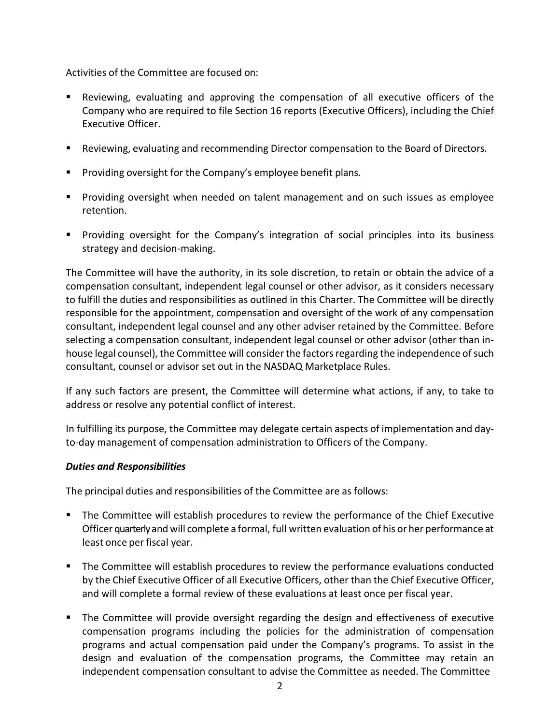Activities of the Committee are focused on:

- Reviewing, evaluating and approving the compensation of all executive officers of the Company who are required to file Section 16 reports (Executive Officers), including the Chief Executive Officer.
- **EXECT** Reviewing, evaluating and recommending Director compensation to the Board of Directors.
- **Providing oversight for the Company's employee benefit plans.**
- Providing oversight when needed on talent management and on such issues as employee retention.
- **Providing oversight for the Company's integration of social principles into its business** strategy and decision-making.

The Committee will have the authority, in its sole discretion, to retain or obtain the advice of a compensation consultant, independent legal counsel or other advisor, as it considers necessary to fulfill the duties and responsibilities as outlined in this Charter. The Committee will be directly responsible for the appointment, compensation and oversight of the work of any compensation consultant, independent legal counsel and any other adviser retained by the Committee. Before selecting a compensation consultant, independent legal counsel or other advisor (other than inhouse legal counsel), the Committee will consider the factors regarding the independence of such consultant, counsel or advisor set out in the NASDAQ Marketplace Rules.

If any such factors are present, the Committee will determine what actions, if any, to take to address or resolve any potential conflict of interest.

In fulfilling its purpose, the Committee may delegate certain aspects of implementation and dayto-day management of compensation administration to Officers of the Company.

#### *Duties and Responsibilities*

The principal duties and responsibilities of the Committee are as follows:

- **The Committee will establish procedures to review the performance of the Chief Executive** Officer quarterly and will complete a formal, full written evaluation of his or her performance at least once per fiscal year.
- The Committee will establish procedures to review the performance evaluations conducted by the Chief Executive Officer of all Executive Officers, other than the Chief Executive Officer, and will complete a formal review of these evaluations at least once per fiscal year.
- **The Committee will provide oversight regarding the design and effectiveness of executive** compensation programs including the policies for the administration of compensation programs and actual compensation paid under the Company's programs. To assist in the design and evaluation of the compensation programs, the Committee may retain an independent compensation consultant to advise the Committee as needed. The Committee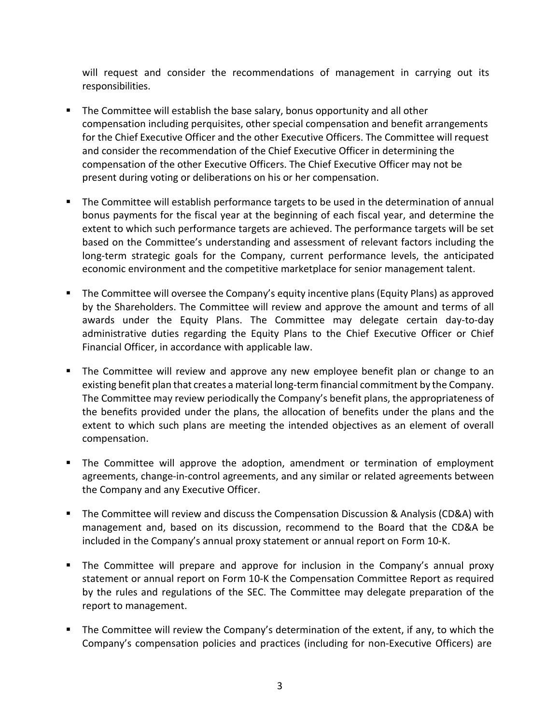will request and consider the recommendations of management in carrying out its responsibilities.

- **The Committee will establish the base salary, bonus opportunity and all other** compensation including perquisites, other special compensation and benefit arrangements for the Chief Executive Officer and the other Executive Officers. The Committee will request and consider the recommendation of the Chief Executive Officer in determining the compensation of the other Executive Officers. The Chief Executive Officer may not be present during voting or deliberations on his or her compensation.
- The Committee will establish performance targets to be used in the determination of annual bonus payments for the fiscal year at the beginning of each fiscal year, and determine the extent to which such performance targets are achieved. The performance targets will be set based on the Committee's understanding and assessment of relevant factors including the long-term strategic goals for the Company, current performance levels, the anticipated economic environment and the competitive marketplace for senior management talent.
- The Committee will oversee the Company's equity incentive plans (Equity Plans) as approved by the Shareholders. The Committee will review and approve the amount and terms of all awards under the Equity Plans. The Committee may delegate certain day-to-day administrative duties regarding the Equity Plans to the Chief Executive Officer or Chief Financial Officer, in accordance with applicable law.
- The Committee will review and approve any new employee benefit plan or change to an existing benefit plan that creates a material long-term financial commitment by the Company. The Committee may review periodically the Company's benefit plans, the appropriateness of the benefits provided under the plans, the allocation of benefits under the plans and the extent to which such plans are meeting the intended objectives as an element of overall compensation.
- The Committee will approve the adoption, amendment or termination of employment agreements, change-in-control agreements, and any similar or related agreements between the Company and any Executive Officer.
- The Committee will review and discuss the Compensation Discussion & Analysis (CD&A) with management and, based on its discussion, recommend to the Board that the CD&A be included in the Company's annual proxy statement or annual report on Form 10-K.
- The Committee will prepare and approve for inclusion in the Company's annual proxy statement or annual report on Form 10-K the Compensation Committee Report as required by the rules and regulations of the SEC. The Committee may delegate preparation of the report to management.
- The Committee will review the Company's determination of the extent, if any, to which the Company's compensation policies and practices (including for non-Executive Officers) are